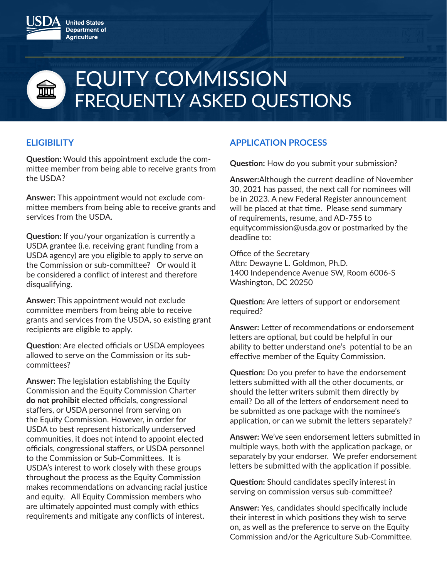

# EQUITY COMMISSION FREQUENTLY ASKED QUESTIONS

# **ELIGIBILITY**

**Question:** Would this appointment exclude the committee member from being able to receive grants from the USDA?

**Answer:** This appointment would not exclude committee members from being able to receive grants and services from the USDA.

**Question:** If you/your organization is currently a USDA grantee (i.e. receiving grant funding from a USDA agency) are you eligible to apply to serve on the Commission or sub-committee? Or would it be considered a conflict of interest and therefore disqualifying.

**Answer:** This appointment would not exclude committee members from being able to receive grants and services from the USDA, so existing grant recipients are eligible to apply.

**Question**: Are elected officials or USDA employees allowed to serve on the Commission or its subcommittees?

**Answer:** The legislation establishing the Equity Commission and the Equity Commission Charter **do not prohibit** elected officials, congressional staffers, or USDA personnel from serving on the Equity Commission. However, in order for USDA to best represent historically underserved communities, it does not intend to appoint elected officials, congressional staffers, or USDA personnel to the Commission or Sub-Committees. It is USDA's interest to work closely with these groups throughout the process as the Equity Commission makes recommendations on advancing racial justice and equity. All Equity Commission members who are ultimately appointed must comply with ethics requirements and mitigate any conflicts of interest.

## **APPLICATION PROCESS**

**Question:** How do you submit your submission?

**Answer:**Although the current deadline of November 30, 2021 has passed, the next call for nominees will be in 2023. A new Federal Register announcement will be placed at that time. Please send summary of requirements, resume, and AD-755 to equitycommission@usda.gov or postmarked by the deadline to:

Office of the Secretary Attn: Dewayne L. Goldmon, Ph.D. 1400 Independence Avenue SW, Room 6006-S Washington, DC 20250

**Question:** Are letters of support or endorsement required?

**Answer:** Letter of recommendations or endorsement letters are optional, but could be helpful in our ability to better understand one's potential to be an effective member of the Equity Commission.

**Question:** Do you prefer to have the endorsement letters submitted with all the other documents, or should the letter writers submit them directly by email? Do all of the letters of endorsement need to be submitted as one package with the nominee's application, or can we submit the letters separately?

**Answer:** We've seen endorsement letters submitted in multiple ways, both with the application package, or separately by your endorser. We prefer endorsement letters be submitted with the application if possible.

**Question:** Should candidates specify interest in serving on commission versus sub-committee?

**Answer:** Yes, candidates should specifically include their interest in which positions they wish to serve on, as well as the preference to serve on the Equity Commission and/or the Agriculture Sub-Committee.